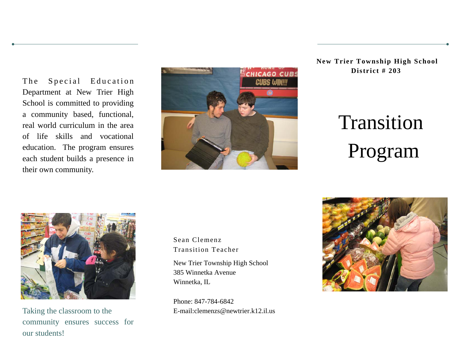The Special Education Department at New Trier High School is committed to providing a community based, functional, real world curriculum in the area of life skills and vocational education. The program ensures each student builds a presence in their own community.



**New Trier Township High School District # 203** 

# Transition Program



Taking the classroom to the community ensures success for our students!

Sean Clemenz Transition Teacher

New Trier Township High School 385 Winnetka Avenue Winnetka, IL

Phone: 847-784-6842 E-mail:clemenzs@newtrier.k12.il.us